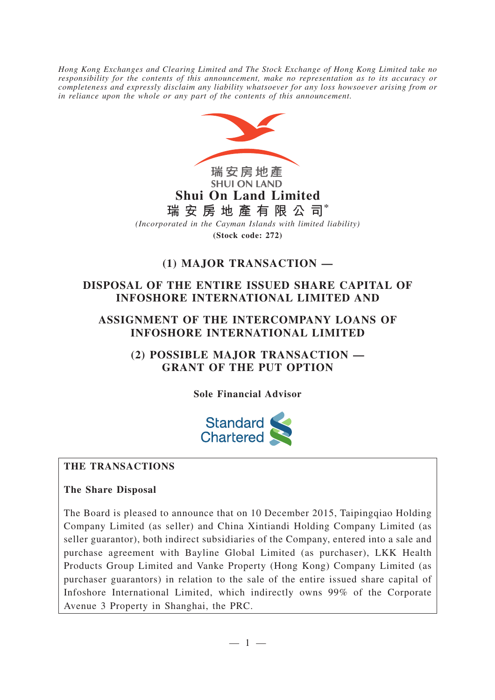*Hong Kong Exchanges and Clearing Limited and The Stock Exchange of Hong Kong Limited take no responsibility for the contents of this announcement, make no representation as to its accuracy or completeness and expressly disclaim any liability whatsoever for any loss howsoever arising from or in reliance upon the whole or any part of the contents of this announcement.*



# **(1) MAJOR TRANSACTION —**

# **DISPOSAL OF THE ENTIRE ISSUED SHARE CAPITAL OF INFOSHORE INTERNATIONAL LIMITED AND**

## **ASSIGNMENT OF THE INTERCOMPANY LOANS OF INFOSHORE INTERNATIONAL LIMITED**

**(2) POSSIBLE MAJOR TRANSACTION — GRANT OF THE PUT OPTION**

**Sole Financial Advisor**



# **THE TRANSACTIONS**

## **The Share Disposal**

The Board is pleased to announce that on 10 December 2015, Taipingqiao Holding Company Limited (as seller) and China Xintiandi Holding Company Limited (as seller guarantor), both indirect subsidiaries of the Company, entered into a sale and purchase agreement with Bayline Global Limited (as purchaser), LKK Health Products Group Limited and Vanke Property (Hong Kong) Company Limited (as purchaser guarantors) in relation to the sale of the entire issued share capital of Infoshore International Limited, which indirectly owns 99% of the Corporate Avenue 3 Property in Shanghai, the PRC.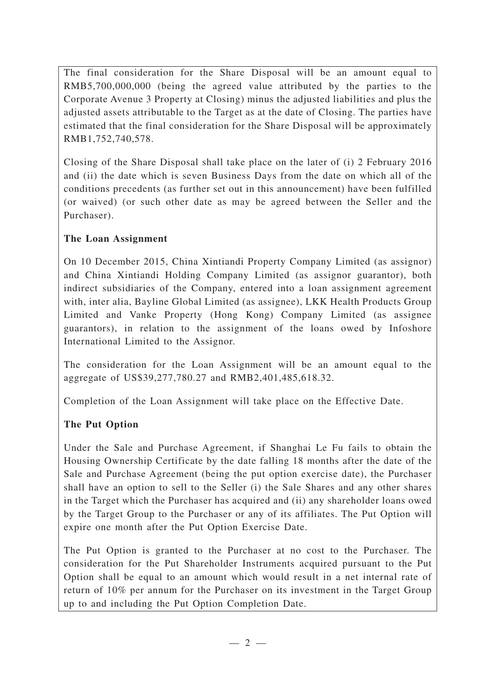The final consideration for the Share Disposal will be an amount equal to RMB5,700,000,000 (being the agreed value attributed by the parties to the Corporate Avenue 3 Property at Closing) minus the adjusted liabilities and plus the adjusted assets attributable to the Target as at the date of Closing. The parties have estimated that the final consideration for the Share Disposal will be approximately RMB1,752,740,578.

Closing of the Share Disposal shall take place on the later of (i) 2 February 2016 and (ii) the date which is seven Business Days from the date on which all of the conditions precedents (as further set out in this announcement) have been fulfilled (or waived) (or such other date as may be agreed between the Seller and the Purchaser).

## **The Loan Assignment**

On 10 December 2015, China Xintiandi Property Company Limited (as assignor) and China Xintiandi Holding Company Limited (as assignor guarantor), both indirect subsidiaries of the Company, entered into a loan assignment agreement with, inter alia, Bayline Global Limited (as assignee), LKK Health Products Group Limited and Vanke Property (Hong Kong) Company Limited (as assignee guarantors), in relation to the assignment of the loans owed by Infoshore International Limited to the Assignor.

The consideration for the Loan Assignment will be an amount equal to the aggregate of US\$39,277,780.27 and RMB2,401,485,618.32.

Completion of the Loan Assignment will take place on the Effective Date.

# **The Put Option**

Under the Sale and Purchase Agreement, if Shanghai Le Fu fails to obtain the Housing Ownership Certificate by the date falling 18 months after the date of the Sale and Purchase Agreement (being the put option exercise date), the Purchaser shall have an option to sell to the Seller (i) the Sale Shares and any other shares in the Target which the Purchaser has acquired and (ii) any shareholder loans owed by the Target Group to the Purchaser or any of its affiliates. The Put Option will expire one month after the Put Option Exercise Date.

The Put Option is granted to the Purchaser at no cost to the Purchaser. The consideration for the Put Shareholder Instruments acquired pursuant to the Put Option shall be equal to an amount which would result in a net internal rate of return of 10% per annum for the Purchaser on its investment in the Target Group up to and including the Put Option Completion Date.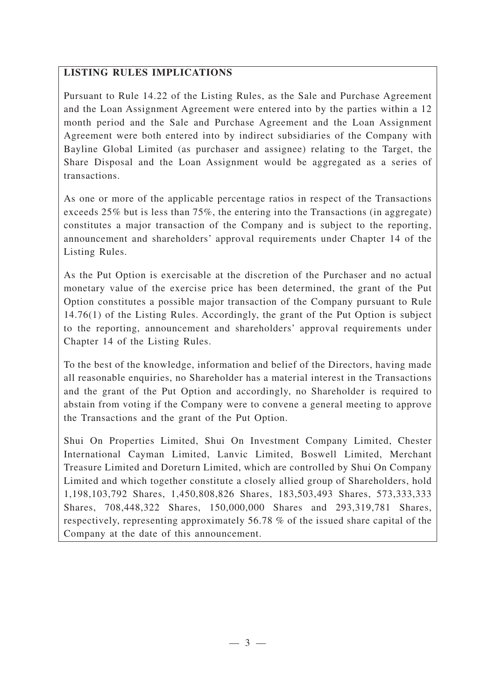## **LISTING RULES IMPLICATIONS**

Pursuant to Rule 14.22 of the Listing Rules, as the Sale and Purchase Agreement and the Loan Assignment Agreement were entered into by the parties within a 12 month period and the Sale and Purchase Agreement and the Loan Assignment Agreement were both entered into by indirect subsidiaries of the Company with Bayline Global Limited (as purchaser and assignee) relating to the Target, the Share Disposal and the Loan Assignment would be aggregated as a series of transactions.

As one or more of the applicable percentage ratios in respect of the Transactions exceeds 25% but is less than 75%, the entering into the Transactions (in aggregate) constitutes a major transaction of the Company and is subject to the reporting, announcement and shareholders' approval requirements under Chapter 14 of the Listing Rules.

As the Put Option is exercisable at the discretion of the Purchaser and no actual monetary value of the exercise price has been determined, the grant of the Put Option constitutes a possible major transaction of the Company pursuant to Rule 14.76(1) of the Listing Rules. Accordingly, the grant of the Put Option is subject to the reporting, announcement and shareholders' approval requirements under Chapter 14 of the Listing Rules.

To the best of the knowledge, information and belief of the Directors, having made all reasonable enquiries, no Shareholder has a material interest in the Transactions and the grant of the Put Option and accordingly, no Shareholder is required to abstain from voting if the Company were to convene a general meeting to approve the Transactions and the grant of the Put Option.

Shui On Properties Limited, Shui On Investment Company Limited, Chester International Cayman Limited, Lanvic Limited, Boswell Limited, Merchant Treasure Limited and Doreturn Limited, which are controlled by Shui On Company Limited and which together constitute a closely allied group of Shareholders, hold 1,198,103,792 Shares, 1,450,808,826 Shares, 183,503,493 Shares, 573,333,333 Shares, 708,448,322 Shares, 150,000,000 Shares and 293,319,781 Shares, respectively, representing approximately 56.78 % of the issued share capital of the Company at the date of this announcement.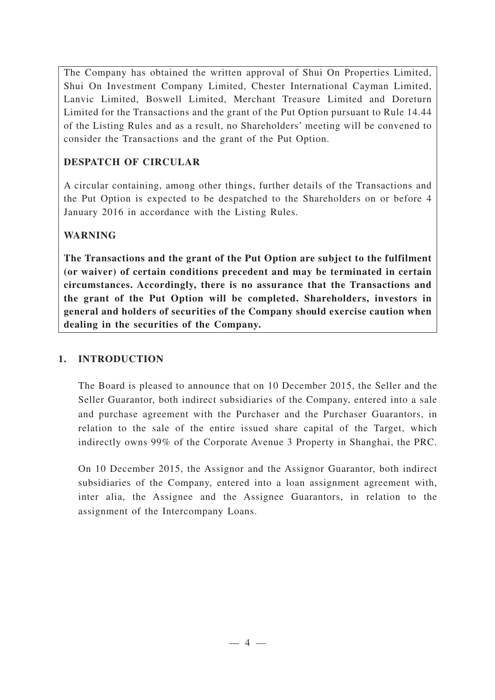The Company has obtained the written approval of Shui On Properties Limited, Shui On Investment Company Limited, Chester International Cayman Limited, Lanvic Limited, Boswell Limited, Merchant Treasure Limited and Doreturn Limited for the Transactions and the grant of the Put Option pursuant to Rule 14.44 of the Listing Rules and as a result, no Shareholders' meeting will be convened to consider the Transactions and the grant of the Put Option.

## **DESPATCH OF CIRCULAR**

A circular containing, among other things, further details of the Transactions and the Put Option is expected to be despatched to the Shareholders on or before 4 January 2016 in accordance with the Listing Rules.

## **WARNING**

**The Transactions and the grant of the Put Option are subject to the fulfilment (or waiver) of certain conditions precedent and may be terminated in certain circumstances. Accordingly, there is no assurance that the Transactions and the grant of the Put Option will be completed. Shareholders, investors in general and holders of securities of the Company should exercise caution when dealing in the securities of the Company.**

## **1. INTRODUCTION**

The Board is pleased to announce that on 10 December 2015, the Seller and the Seller Guarantor, both indirect subsidiaries of the Company, entered into a sale and purchase agreement with the Purchaser and the Purchaser Guarantors, in relation to the sale of the entire issued share capital of the Target, which indirectly owns 99% of the Corporate Avenue 3 Property in Shanghai, the PRC.

On 10 December 2015, the Assignor and the Assignor Guarantor, both indirect subsidiaries of the Company, entered into a loan assignment agreement with, inter alia, the Assignee and the Assignee Guarantors, in relation to the assignment of the Intercompany Loans.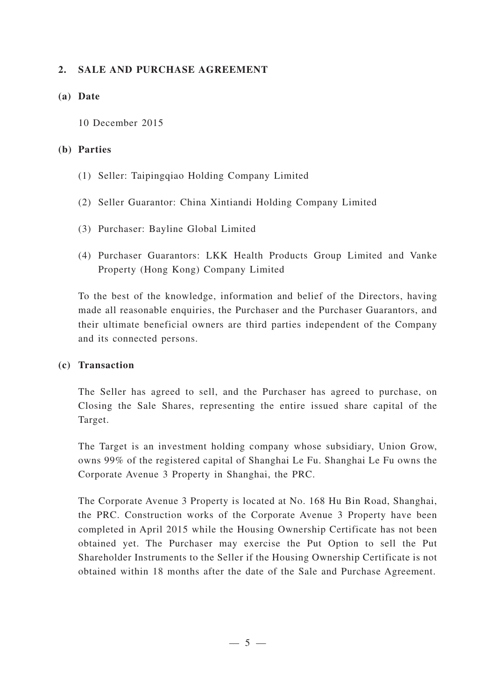### **2. SALE AND PURCHASE AGREEMENT**

#### **(a) Date**

10 December 2015

#### **(b) Parties**

- (1) Seller: Taipingqiao Holding Company Limited
- (2) Seller Guarantor: China Xintiandi Holding Company Limited
- (3) Purchaser: Bayline Global Limited
- (4) Purchaser Guarantors: LKK Health Products Group Limited and Vanke Property (Hong Kong) Company Limited

To the best of the knowledge, information and belief of the Directors, having made all reasonable enquiries, the Purchaser and the Purchaser Guarantors, and their ultimate beneficial owners are third parties independent of the Company and its connected persons.

#### **(c) Transaction**

The Seller has agreed to sell, and the Purchaser has agreed to purchase, on Closing the Sale Shares, representing the entire issued share capital of the Target.

The Target is an investment holding company whose subsidiary, Union Grow, owns 99% of the registered capital of Shanghai Le Fu. Shanghai Le Fu owns the Corporate Avenue 3 Property in Shanghai, the PRC.

The Corporate Avenue 3 Property is located at No. 168 Hu Bin Road, Shanghai, the PRC. Construction works of the Corporate Avenue 3 Property have been completed in April 2015 while the Housing Ownership Certificate has not been obtained yet. The Purchaser may exercise the Put Option to sell the Put Shareholder Instruments to the Seller if the Housing Ownership Certificate is not obtained within 18 months after the date of the Sale and Purchase Agreement.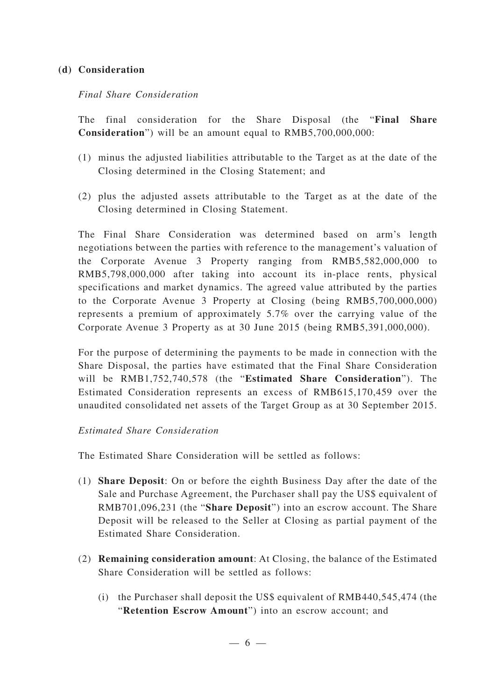#### **(d) Consideration**

#### *Final Share Consideration*

The final consideration for the Share Disposal (the "**Final Share Consideration**") will be an amount equal to RMB5,700,000,000:

- (1) minus the adjusted liabilities attributable to the Target as at the date of the Closing determined in the Closing Statement; and
- (2) plus the adjusted assets attributable to the Target as at the date of the Closing determined in Closing Statement.

The Final Share Consideration was determined based on arm's length negotiations between the parties with reference to the management's valuation of the Corporate Avenue 3 Property ranging from RMB5,582,000,000 to RMB5,798,000,000 after taking into account its in-place rents, physical specifications and market dynamics. The agreed value attributed by the parties to the Corporate Avenue 3 Property at Closing (being RMB5,700,000,000) represents a premium of approximately 5.7% over the carrying value of the Corporate Avenue 3 Property as at 30 June 2015 (being RMB5,391,000,000).

For the purpose of determining the payments to be made in connection with the Share Disposal, the parties have estimated that the Final Share Consideration will be RMB1,752,740,578 (the "**Estimated Share Consideration**"). The Estimated Consideration represents an excess of RMB615,170,459 over the unaudited consolidated net assets of the Target Group as at 30 September 2015.

#### *Estimated Share Consideration*

The Estimated Share Consideration will be settled as follows:

- (1) **Share Deposit**: On or before the eighth Business Day after the date of the Sale and Purchase Agreement, the Purchaser shall pay the US\$ equivalent of RMB701,096,231 (the "**Share Deposit**") into an escrow account. The Share Deposit will be released to the Seller at Closing as partial payment of the Estimated Share Consideration.
- (2) **Remaining consideration amount**: At Closing, the balance of the Estimated Share Consideration will be settled as follows:
	- (i) the Purchaser shall deposit the US\$ equivalent of RMB440,545,474 (the "**Retention Escrow Amount**") into an escrow account; and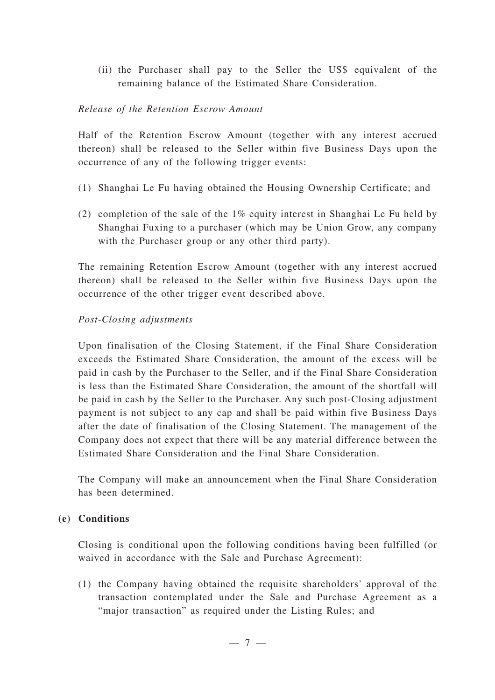(ii) the Purchaser shall pay to the Seller the US\$ equivalent of the remaining balance of the Estimated Share Consideration.

#### *Release of the Retention Escrow Amount*

Half of the Retention Escrow Amount (together with any interest accrued thereon) shall be released to the Seller within five Business Days upon the occurrence of any of the following trigger events:

- (1) Shanghai Le Fu having obtained the Housing Ownership Certificate; and
- (2) completion of the sale of the 1% equity interest in Shanghai Le Fu held by Shanghai Fuxing to a purchaser (which may be Union Grow, any company with the Purchaser group or any other third party).

The remaining Retention Escrow Amount (together with any interest accrued thereon) shall be released to the Seller within five Business Days upon the occurrence of the other trigger event described above.

#### *Post-Closing adjustments*

Upon finalisation of the Closing Statement, if the Final Share Consideration exceeds the Estimated Share Consideration, the amount of the excess will be paid in cash by the Purchaser to the Seller, and if the Final Share Consideration is less than the Estimated Share Consideration, the amount of the shortfall will be paid in cash by the Seller to the Purchaser. Any such post-Closing adjustment payment is not subject to any cap and shall be paid within five Business Days after the date of finalisation of the Closing Statement. The management of the Company does not expect that there will be any material difference between the Estimated Share Consideration and the Final Share Consideration.

The Company will make an announcement when the Final Share Consideration has been determined.

#### **(e) Conditions**

Closing is conditional upon the following conditions having been fulfilled (or waived in accordance with the Sale and Purchase Agreement):

(1) the Company having obtained the requisite shareholders' approval of the transaction contemplated under the Sale and Purchase Agreement as a "major transaction" as required under the Listing Rules; and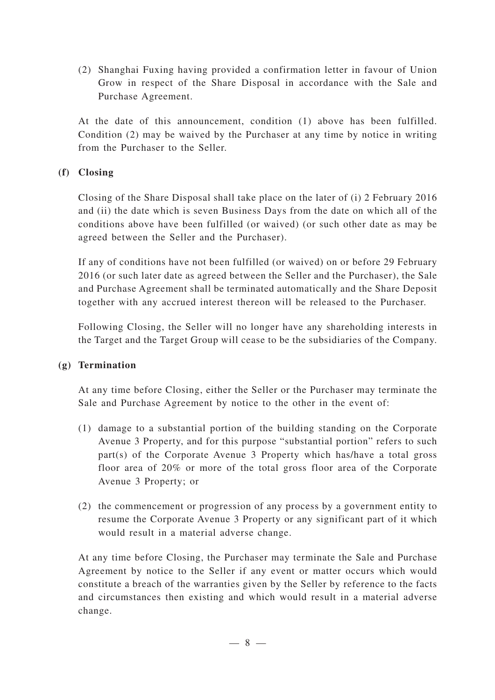(2) Shanghai Fuxing having provided a confirmation letter in favour of Union Grow in respect of the Share Disposal in accordance with the Sale and Purchase Agreement.

At the date of this announcement, condition (1) above has been fulfilled. Condition (2) may be waived by the Purchaser at any time by notice in writing from the Purchaser to the Seller.

## **(f) Closing**

Closing of the Share Disposal shall take place on the later of (i) 2 February 2016 and (ii) the date which is seven Business Days from the date on which all of the conditions above have been fulfilled (or waived) (or such other date as may be agreed between the Seller and the Purchaser).

If any of conditions have not been fulfilled (or waived) on or before 29 February 2016 (or such later date as agreed between the Seller and the Purchaser), the Sale and Purchase Agreement shall be terminated automatically and the Share Deposit together with any accrued interest thereon will be released to the Purchaser.

Following Closing, the Seller will no longer have any shareholding interests in the Target and the Target Group will cease to be the subsidiaries of the Company.

## **(g) Termination**

At any time before Closing, either the Seller or the Purchaser may terminate the Sale and Purchase Agreement by notice to the other in the event of:

- (1) damage to a substantial portion of the building standing on the Corporate Avenue 3 Property, and for this purpose "substantial portion" refers to such part(s) of the Corporate Avenue 3 Property which has/have a total gross floor area of 20% or more of the total gross floor area of the Corporate Avenue 3 Property; or
- (2) the commencement or progression of any process by a government entity to resume the Corporate Avenue 3 Property or any significant part of it which would result in a material adverse change.

At any time before Closing, the Purchaser may terminate the Sale and Purchase Agreement by notice to the Seller if any event or matter occurs which would constitute a breach of the warranties given by the Seller by reference to the facts and circumstances then existing and which would result in a material adverse change.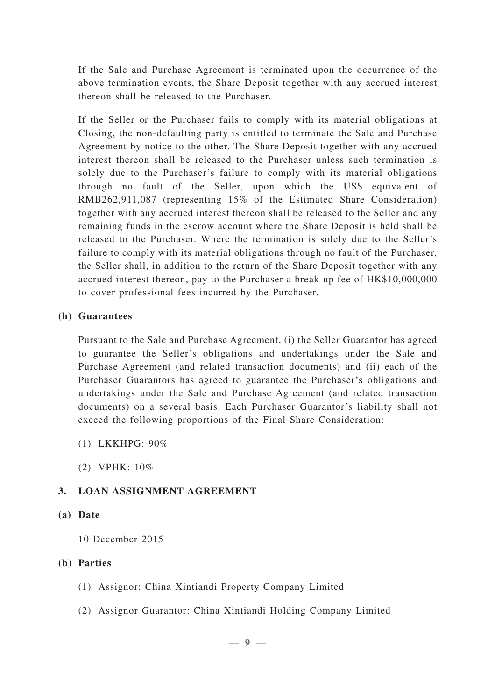If the Sale and Purchase Agreement is terminated upon the occurrence of the above termination events, the Share Deposit together with any accrued interest thereon shall be released to the Purchaser.

If the Seller or the Purchaser fails to comply with its material obligations at Closing, the non-defaulting party is entitled to terminate the Sale and Purchase Agreement by notice to the other. The Share Deposit together with any accrued interest thereon shall be released to the Purchaser unless such termination is solely due to the Purchaser's failure to comply with its material obligations through no fault of the Seller, upon which the US\$ equivalent of RMB262,911,087 (representing 15% of the Estimated Share Consideration) together with any accrued interest thereon shall be released to the Seller and any remaining funds in the escrow account where the Share Deposit is held shall be released to the Purchaser. Where the termination is solely due to the Seller 's failure to comply with its material obligations through no fault of the Purchaser, the Seller shall, in addition to the return of the Share Deposit together with any accrued interest thereon, pay to the Purchaser a break-up fee of HK\$10,000,000 to cover professional fees incurred by the Purchaser.

#### **(h) Guarantees**

Pursuant to the Sale and Purchase Agreement, (i) the Seller Guarantor has agreed to guarantee the Seller's obligations and undertakings under the Sale and Purchase Agreement (and related transaction documents) and (ii) each of the Purchaser Guarantors has agreed to guarantee the Purchaser 's obligations and undertakings under the Sale and Purchase Agreement (and related transaction documents) on a several basis. Each Purchaser Guarantor 's liability shall not exceed the following proportions of the Final Share Consideration:

- (1) LKKHPG: 90%
- (2) VPHK: 10%

## **3. LOAN ASSIGNMENT AGREEMENT**

#### **(a) Date**

10 December 2015

## **(b) Parties**

- (1) Assignor: China Xintiandi Property Company Limited
- (2) Assignor Guarantor: China Xintiandi Holding Company Limited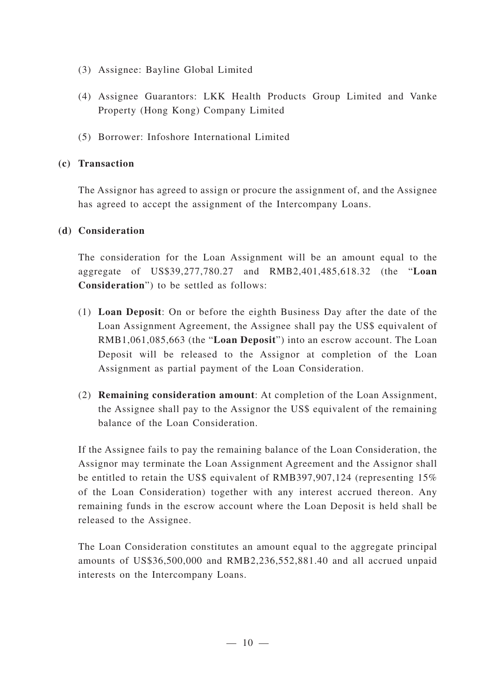- (3) Assignee: Bayline Global Limited
- (4) Assignee Guarantors: LKK Health Products Group Limited and Vanke Property (Hong Kong) Company Limited
- (5) Borrower: Infoshore International Limited

## **(c) Transaction**

The Assignor has agreed to assign or procure the assignment of, and the Assignee has agreed to accept the assignment of the Intercompany Loans.

## **(d) Consideration**

The consideration for the Loan Assignment will be an amount equal to the aggregate of US\$39,277,780.27 and RMB2,401,485,618.32 (the "**Loan Consideration**") to be settled as follows:

- (1) **Loan Deposit**: On or before the eighth Business Day after the date of the Loan Assignment Agreement, the Assignee shall pay the US\$ equivalent of RMB1,061,085,663 (the "**Loan Deposit**") into an escrow account. The Loan Deposit will be released to the Assignor at completion of the Loan Assignment as partial payment of the Loan Consideration.
- (2) **Remaining consideration amount**: At completion of the Loan Assignment, the Assignee shall pay to the Assignor the US\$ equivalent of the remaining balance of the Loan Consideration.

If the Assignee fails to pay the remaining balance of the Loan Consideration, the Assignor may terminate the Loan Assignment Agreement and the Assignor shall be entitled to retain the US\$ equivalent of RMB397,907,124 (representing 15%) of the Loan Consideration) together with any interest accrued thereon. Any remaining funds in the escrow account where the Loan Deposit is held shall be released to the Assignee.

The Loan Consideration constitutes an amount equal to the aggregate principal amounts of US\$36,500,000 and RMB2,236,552,881.40 and all accrued unpaid interests on the Intercompany Loans.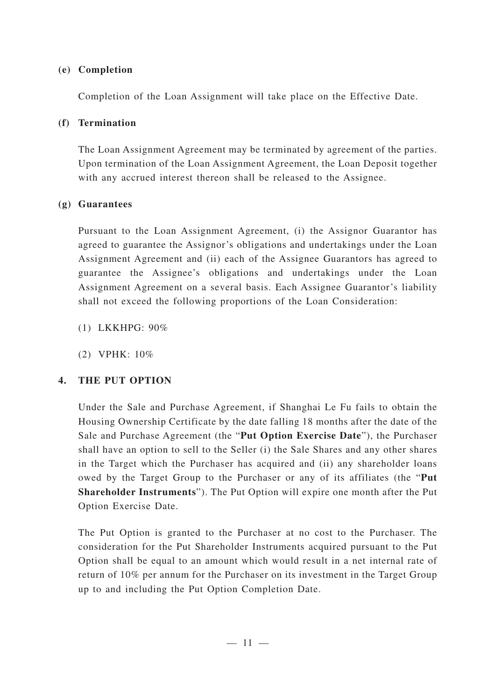### **(e) Completion**

Completion of the Loan Assignment will take place on the Effective Date.

## **(f) Termination**

The Loan Assignment Agreement may be terminated by agreement of the parties. Upon termination of the Loan Assignment Agreement, the Loan Deposit together with any accrued interest thereon shall be released to the Assignee.

### **(g) Guarantees**

Pursuant to the Loan Assignment Agreement, (i) the Assignor Guarantor has agreed to guarantee the Assignor 's obligations and undertakings under the Loan Assignment Agreement and (ii) each of the Assignee Guarantors has agreed to guarantee the Assignee's obligations and undertakings under the Loan Assignment Agreement on a several basis. Each Assignee Guarantor 's liability shall not exceed the following proportions of the Loan Consideration:

(1) LKKHPG: 90%

(2) VPHK: 10%

## **4. THE PUT OPTION**

Under the Sale and Purchase Agreement, if Shanghai Le Fu fails to obtain the Housing Ownership Certificate by the date falling 18 months after the date of the Sale and Purchase Agreement (the "**Put Option Exercise Date**"), the Purchaser shall have an option to sell to the Seller (i) the Sale Shares and any other shares in the Target which the Purchaser has acquired and (ii) any shareholder loans owed by the Target Group to the Purchaser or any of its affiliates (the "**Put Shareholder Instruments**"). The Put Option will expire one month after the Put Option Exercise Date.

The Put Option is granted to the Purchaser at no cost to the Purchaser. The consideration for the Put Shareholder Instruments acquired pursuant to the Put Option shall be equal to an amount which would result in a net internal rate of return of 10% per annum for the Purchaser on its investment in the Target Group up to and including the Put Option Completion Date.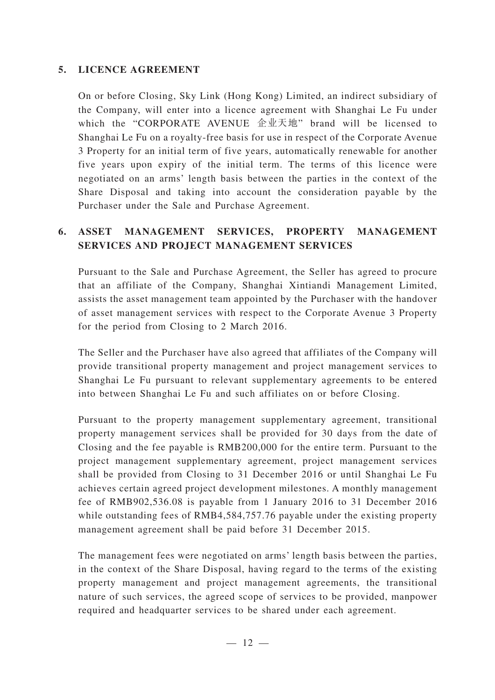### **5. LICENCE AGREEMENT**

On or before Closing, Sky Link (Hong Kong) Limited, an indirect subsidiary of the Company, will enter into a licence agreement with Shanghai Le Fu under which the "CORPORATE AVENUE 企业天地" brand will be licensed to Shanghai Le Fu on a royalty-free basis for use in respect of the Corporate Avenue 3 Property for an initial term of five years, automatically renewable for another five years upon expiry of the initial term. The terms of this licence were negotiated on an arms' length basis between the parties in the context of the Share Disposal and taking into account the consideration payable by the Purchaser under the Sale and Purchase Agreement.

# **6. ASSET MANAGEMENT SERVICES, PROPERTY MANAGEMENT SERVICES AND PROJECT MANAGEMENT SERVICES**

Pursuant to the Sale and Purchase Agreement, the Seller has agreed to procure that an affiliate of the Company, Shanghai Xintiandi Management Limited, assists the asset management team appointed by the Purchaser with the handover of asset management services with respect to the Corporate Avenue 3 Property for the period from Closing to 2 March 2016.

The Seller and the Purchaser have also agreed that affiliates of the Company will provide transitional property management and project management services to Shanghai Le Fu pursuant to relevant supplementary agreements to be entered into between Shanghai Le Fu and such affiliates on or before Closing.

Pursuant to the property management supplementary agreement, transitional property management services shall be provided for 30 days from the date of Closing and the fee payable is RMB200,000 for the entire term. Pursuant to the project management supplementary agreement, project management services shall be provided from Closing to 31 December 2016 or until Shanghai Le Fu achieves certain agreed project development milestones. A monthly management fee of RMB902,536.08 is payable from 1 January 2016 to 31 December 2016 while outstanding fees of RMB4,584,757.76 payable under the existing property management agreement shall be paid before 31 December 2015.

The management fees were negotiated on arms' length basis between the parties, in the context of the Share Disposal, having regard to the terms of the existing property management and project management agreements, the transitional nature of such services, the agreed scope of services to be provided, manpower required and headquarter services to be shared under each agreement.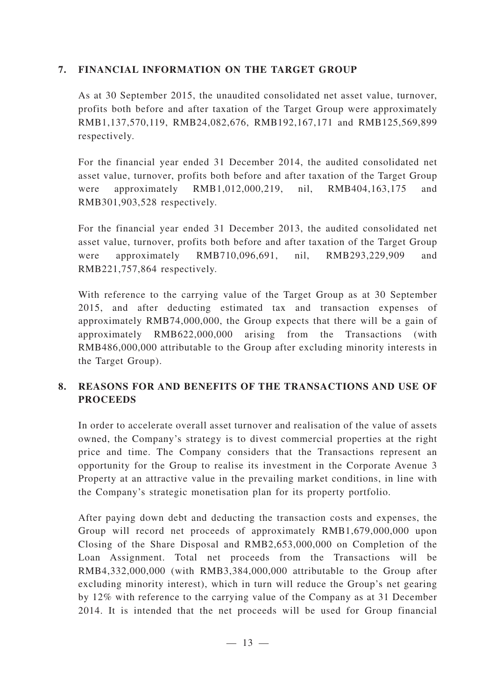### **7. FINANCIAL INFORMATION ON THE TARGET GROUP**

As at 30 September 2015, the unaudited consolidated net asset value, turnover, profits both before and after taxation of the Target Group were approximately RMB1,137,570,119, RMB24,082,676, RMB192,167,171 and RMB125,569,899 respectively.

For the financial year ended 31 December 2014, the audited consolidated net asset value, turnover, profits both before and after taxation of the Target Group were approximately RMB1,012,000,219, nil, RMB404,163,175 and RMB301,903,528 respectively.

For the financial year ended 31 December 2013, the audited consolidated net asset value, turnover, profits both before and after taxation of the Target Group were approximately RMB710,096,691, nil, RMB293,229,909 and RMB221,757,864 respectively.

With reference to the carrying value of the Target Group as at 30 September 2015, and after deducting estimated tax and transaction expenses of approximately RMB74,000,000, the Group expects that there will be a gain of approximately RMB622,000,000 arising from the Transactions (with RMB486,000,000 attributable to the Group after excluding minority interests in the Target Group).

## **8. REASONS FOR AND BENEFITS OF THE TRANSACTIONS AND USE OF PROCEEDS**

In order to accelerate overall asset turnover and realisation of the value of assets owned, the Company's strategy is to divest commercial properties at the right price and time. The Company considers that the Transactions represent an opportunity for the Group to realise its investment in the Corporate Avenue 3 Property at an attractive value in the prevailing market conditions, in line with the Company's strategic monetisation plan for its property portfolio.

After paying down debt and deducting the transaction costs and expenses, the Group will record net proceeds of approximately RMB1,679,000,000 upon Closing of the Share Disposal and RMB2,653,000,000 on Completion of the Loan Assignment. Total net proceeds from the Transactions will be RMB4,332,000,000 (with RMB3,384,000,000 attributable to the Group after excluding minority interest), which in turn will reduce the Group's net gearing by 12% with reference to the carrying value of the Company as at 31 December 2014. It is intended that the net proceeds will be used for Group financial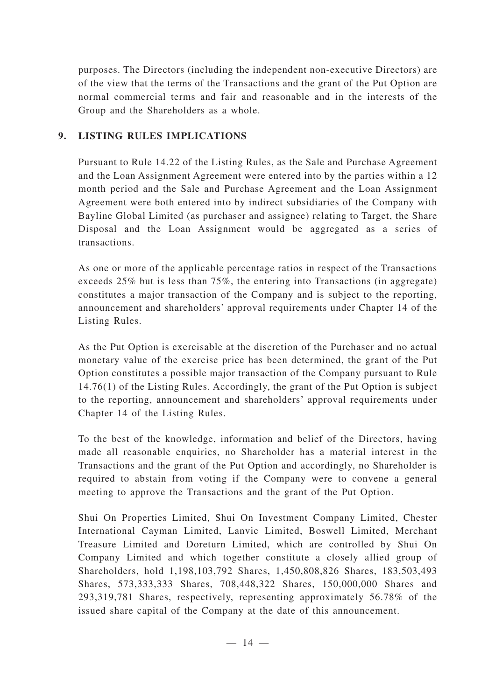purposes. The Directors (including the independent non-executive Directors) are of the view that the terms of the Transactions and the grant of the Put Option are normal commercial terms and fair and reasonable and in the interests of the Group and the Shareholders as a whole.

## **9. LISTING RULES IMPLICATIONS**

Pursuant to Rule 14.22 of the Listing Rules, as the Sale and Purchase Agreement and the Loan Assignment Agreement were entered into by the parties within a 12 month period and the Sale and Purchase Agreement and the Loan Assignment Agreement were both entered into by indirect subsidiaries of the Company with Bayline Global Limited (as purchaser and assignee) relating to Target, the Share Disposal and the Loan Assignment would be aggregated as a series of transactions.

As one or more of the applicable percentage ratios in respect of the Transactions exceeds 25% but is less than 75%, the entering into Transactions (in aggregate) constitutes a major transaction of the Company and is subject to the reporting, announcement and shareholders' approval requirements under Chapter 14 of the Listing Rules.

As the Put Option is exercisable at the discretion of the Purchaser and no actual monetary value of the exercise price has been determined, the grant of the Put Option constitutes a possible major transaction of the Company pursuant to Rule 14.76(1) of the Listing Rules. Accordingly, the grant of the Put Option is subject to the reporting, announcement and shareholders' approval requirements under Chapter 14 of the Listing Rules.

To the best of the knowledge, information and belief of the Directors, having made all reasonable enquiries, no Shareholder has a material interest in the Transactions and the grant of the Put Option and accordingly, no Shareholder is required to abstain from voting if the Company were to convene a general meeting to approve the Transactions and the grant of the Put Option.

Shui On Properties Limited, Shui On Investment Company Limited, Chester International Cayman Limited, Lanvic Limited, Boswell Limited, Merchant Treasure Limited and Doreturn Limited, which are controlled by Shui On Company Limited and which together constitute a closely allied group of Shareholders, hold 1,198,103,792 Shares, 1,450,808,826 Shares, 183,503,493 Shares, 573,333,333 Shares, 708,448,322 Shares, 150,000,000 Shares and 293,319,781 Shares, respectively, representing approximately 56.78% of the issued share capital of the Company at the date of this announcement.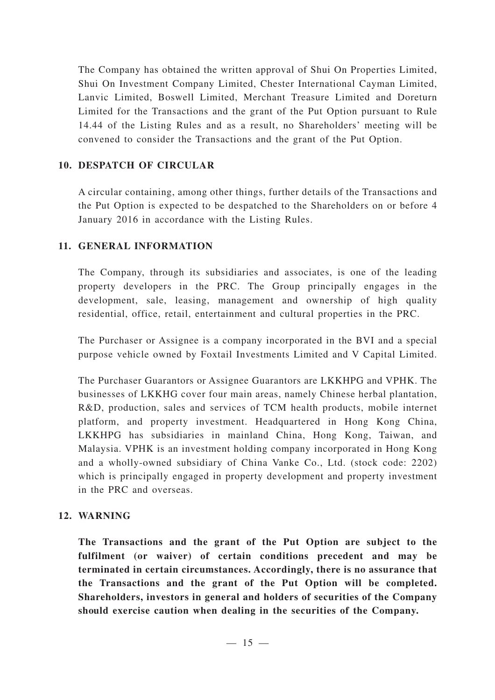The Company has obtained the written approval of Shui On Properties Limited, Shui On Investment Company Limited, Chester International Cayman Limited, Lanvic Limited, Boswell Limited, Merchant Treasure Limited and Doreturn Limited for the Transactions and the grant of the Put Option pursuant to Rule 14.44 of the Listing Rules and as a result, no Shareholders' meeting will be convened to consider the Transactions and the grant of the Put Option.

## **10. DESPATCH OF CIRCULAR**

A circular containing, among other things, further details of the Transactions and the Put Option is expected to be despatched to the Shareholders on or before 4 January 2016 in accordance with the Listing Rules.

## **11. GENERAL INFORMATION**

The Company, through its subsidiaries and associates, is one of the leading property developers in the PRC. The Group principally engages in the development, sale, leasing, management and ownership of high quality residential, office, retail, entertainment and cultural properties in the PRC.

The Purchaser or Assignee is a company incorporated in the BVI and a special purpose vehicle owned by Foxtail Investments Limited and V Capital Limited.

The Purchaser Guarantors or Assignee Guarantors are LKKHPG and VPHK. The businesses of LKKHG cover four main areas, namely Chinese herbal plantation, R&D, production, sales and services of TCM health products, mobile internet platform, and property investment. Headquartered in Hong Kong China, LKKHPG has subsidiaries in mainland China, Hong Kong, Taiwan, and Malaysia. VPHK is an investment holding company incorporated in Hong Kong and a wholly-owned subsidiary of China Vanke Co., Ltd. (stock code: 2202) which is principally engaged in property development and property investment in the PRC and overseas.

## **12. WARNING**

**The Transactions and the grant of the Put Option are subject to the fulfilment (or waiver) of certain conditions precedent and may be terminated in certain circumstances. Accordingly, there is no assurance that the Transactions and the grant of the Put Option will be completed. Shareholders, investors in general and holders of securities of the Company should exercise caution when dealing in the securities of the Company.**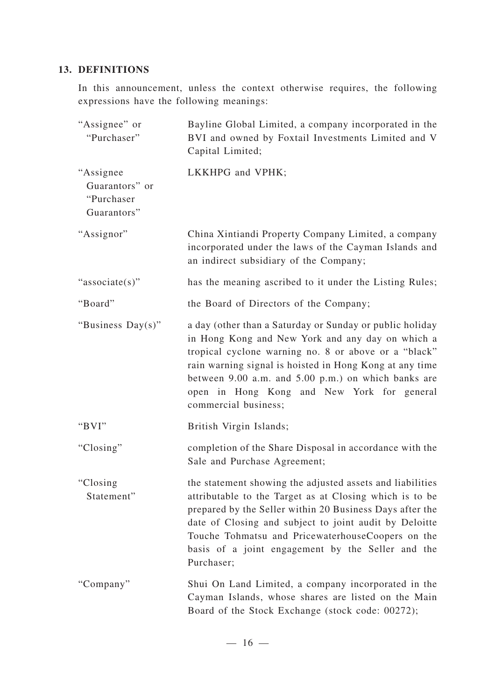## **13. DEFINITIONS**

In this announcement, unless the context otherwise requires, the following expressions have the following meanings:

| "Assignee" or<br>"Purchaser"                              | Bayline Global Limited, a company incorporated in the<br>BVI and owned by Foxtail Investments Limited and V<br>Capital Limited;                                                                                                                                                                                                                                    |
|-----------------------------------------------------------|--------------------------------------------------------------------------------------------------------------------------------------------------------------------------------------------------------------------------------------------------------------------------------------------------------------------------------------------------------------------|
| "Assignee"<br>Guarantors" or<br>"Purchaser<br>Guarantors" | LKKHPG and VPHK;                                                                                                                                                                                                                                                                                                                                                   |
| "Assignor"                                                | China Xintiandi Property Company Limited, a company<br>incorporated under the laws of the Cayman Islands and<br>an indirect subsidiary of the Company;                                                                                                                                                                                                             |
| "associate(s)"                                            | has the meaning ascribed to it under the Listing Rules;                                                                                                                                                                                                                                                                                                            |
| "Board"                                                   | the Board of Directors of the Company;                                                                                                                                                                                                                                                                                                                             |
| "Business Day(s)"                                         | a day (other than a Saturday or Sunday or public holiday<br>in Hong Kong and New York and any day on which a<br>tropical cyclone warning no. 8 or above or a "black"<br>rain warning signal is hoisted in Hong Kong at any time<br>between 9.00 a.m. and 5.00 p.m.) on which banks are<br>open in Hong Kong and New York for general<br>commercial business;       |
| "BVI"                                                     | British Virgin Islands;                                                                                                                                                                                                                                                                                                                                            |
| "Closing"                                                 | completion of the Share Disposal in accordance with the<br>Sale and Purchase Agreement;                                                                                                                                                                                                                                                                            |
| "Closing<br>Statement"                                    | the statement showing the adjusted assets and liabilities<br>attributable to the Target as at Closing which is to be<br>prepared by the Seller within 20 Business Days after the<br>date of Closing and subject to joint audit by Deloitte<br>Touche Tohmatsu and PricewaterhouseCoopers on the<br>basis of a joint engagement by the Seller and the<br>Purchaser; |
| "Company"                                                 | Shui On Land Limited, a company incorporated in the<br>Cayman Islands, whose shares are listed on the Main<br>Board of the Stock Exchange (stock code: 00272);                                                                                                                                                                                                     |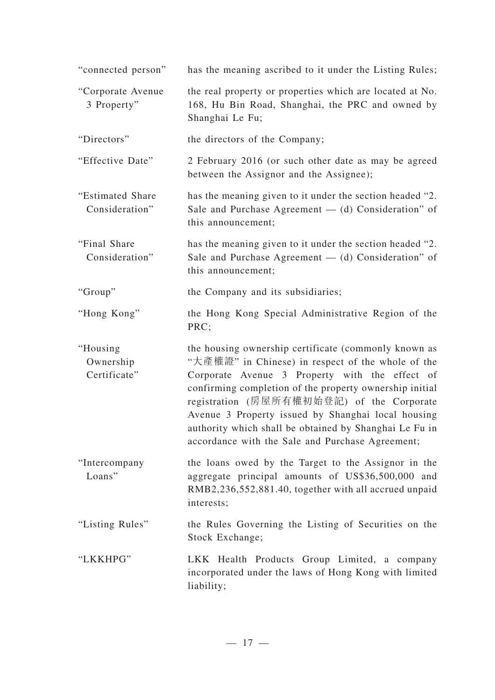| "connected person"                    | has the meaning ascribed to it under the Listing Rules;                                                                                                                                                                                                                                                                                                                                                                                 |
|---------------------------------------|-----------------------------------------------------------------------------------------------------------------------------------------------------------------------------------------------------------------------------------------------------------------------------------------------------------------------------------------------------------------------------------------------------------------------------------------|
| "Corporate Avenue<br>3 Property"      | the real property or properties which are located at No.<br>168, Hu Bin Road, Shanghai, the PRC and owned by<br>Shanghai Le Fu;                                                                                                                                                                                                                                                                                                         |
| "Directors"                           | the directors of the Company;                                                                                                                                                                                                                                                                                                                                                                                                           |
| "Effective Date"                      | 2 February 2016 (or such other date as may be agreed<br>between the Assignor and the Assignee);                                                                                                                                                                                                                                                                                                                                         |
| "Estimated Share"<br>Consideration"   | has the meaning given to it under the section headed "2.<br>Sale and Purchase Agreement $-$ (d) Consideration" of<br>this announcement;                                                                                                                                                                                                                                                                                                 |
| "Final Share"<br>Consideration"       | has the meaning given to it under the section headed "2.<br>Sale and Purchase Agreement $-$ (d) Consideration" of<br>this announcement;                                                                                                                                                                                                                                                                                                 |
| "Group"                               | the Company and its subsidiaries;                                                                                                                                                                                                                                                                                                                                                                                                       |
| "Hong Kong"                           | the Hong Kong Special Administrative Region of the<br>PRC;                                                                                                                                                                                                                                                                                                                                                                              |
| "Housing<br>Ownership<br>Certificate" | the housing ownership certificate (commonly known as<br>"大產權證" in Chinese) in respect of the whole of the<br>Corporate Avenue 3 Property with the effect of<br>confirming completion of the property ownership initial<br>registration (房屋所有權初始登記) of the Corporate<br>Avenue 3 Property issued by Shanghai local housing<br>authority which shall be obtained by Shanghai Le Fu in<br>accordance with the Sale and Purchase Agreement; |
| "Intercompany<br>Loans"               | the loans owed by the Target to the Assignor in the<br>aggregate principal amounts of US\$36,500,000 and<br>RMB2,236,552,881.40, together with all accrued unpaid<br>interests;                                                                                                                                                                                                                                                         |
| "Listing Rules"                       | the Rules Governing the Listing of Securities on the<br>Stock Exchange;                                                                                                                                                                                                                                                                                                                                                                 |
| "LKKHPG"                              | LKK Health Products Group Limited, a company<br>incorporated under the laws of Hong Kong with limited<br>liability;                                                                                                                                                                                                                                                                                                                     |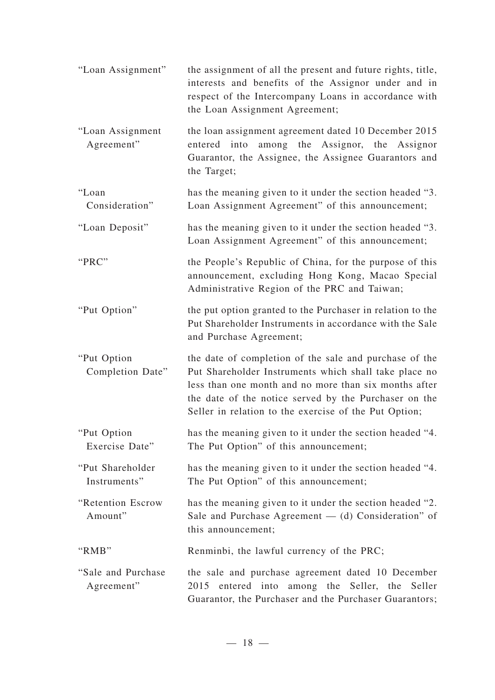| "Loan Assignment"                 | the assignment of all the present and future rights, title,<br>interests and benefits of the Assignor under and in<br>respect of the Intercompany Loans in accordance with<br>the Loan Assignment Agreement;                                                                               |
|-----------------------------------|--------------------------------------------------------------------------------------------------------------------------------------------------------------------------------------------------------------------------------------------------------------------------------------------|
| "Loan Assignment<br>Agreement"    | the loan assignment agreement dated 10 December 2015<br>among the Assignor, the Assignor<br>entered into<br>Guarantor, the Assignee, the Assignee Guarantors and<br>the Target;                                                                                                            |
| "Loan<br>Consideration"           | has the meaning given to it under the section headed "3.<br>Loan Assignment Agreement" of this announcement;                                                                                                                                                                               |
| "Loan Deposit"                    | has the meaning given to it under the section headed "3.<br>Loan Assignment Agreement" of this announcement;                                                                                                                                                                               |
| "PRC"                             | the People's Republic of China, for the purpose of this<br>announcement, excluding Hong Kong, Macao Special<br>Administrative Region of the PRC and Taiwan;                                                                                                                                |
| "Put Option"                      | the put option granted to the Purchaser in relation to the<br>Put Shareholder Instruments in accordance with the Sale<br>and Purchase Agreement;                                                                                                                                           |
| "Put Option<br>Completion Date"   | the date of completion of the sale and purchase of the<br>Put Shareholder Instruments which shall take place no<br>less than one month and no more than six months after<br>the date of the notice served by the Purchaser on the<br>Seller in relation to the exercise of the Put Option; |
| "Put Option"<br>Exercise Date"    | has the meaning given to it under the section headed "4.<br>The Put Option" of this announcement;                                                                                                                                                                                          |
| "Put Shareholder<br>Instruments"  | has the meaning given to it under the section headed "4.<br>The Put Option" of this announcement;                                                                                                                                                                                          |
| "Retention Escrow<br>Amount"      | has the meaning given to it under the section headed "2.<br>Sale and Purchase Agreement $-$ (d) Consideration" of<br>this announcement;                                                                                                                                                    |
| "RMB"                             | Renminbi, the lawful currency of the PRC;                                                                                                                                                                                                                                                  |
| "Sale and Purchase"<br>Agreement" | the sale and purchase agreement dated 10 December<br>2015 entered into among the Seller, the Seller<br>Guarantor, the Purchaser and the Purchaser Guarantors;                                                                                                                              |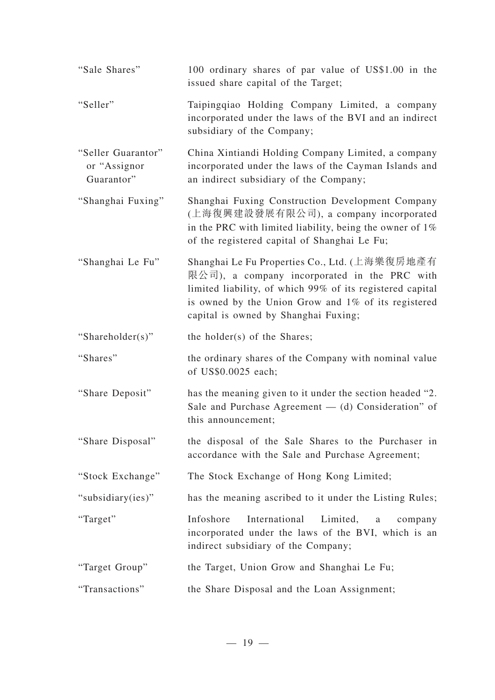| "Sale Shares"                                     | 100 ordinary shares of par value of US\$1.00 in the<br>issued share capital of the Target;                                                                                                                                                                |
|---------------------------------------------------|-----------------------------------------------------------------------------------------------------------------------------------------------------------------------------------------------------------------------------------------------------------|
| "Seller"                                          | Taipingqiao Holding Company Limited, a company<br>incorporated under the laws of the BVI and an indirect<br>subsidiary of the Company;                                                                                                                    |
| "Seller Guarantor"<br>or "Assignor"<br>Guarantor" | China Xintiandi Holding Company Limited, a company<br>incorporated under the laws of the Cayman Islands and<br>an indirect subsidiary of the Company;                                                                                                     |
| "Shanghai Fuxing"                                 | Shanghai Fuxing Construction Development Company<br>(上海復興建設發展有限公司), a company incorporated<br>in the PRC with limited liability, being the owner of $1\%$<br>of the registered capital of Shanghai Le Fu;                                                 |
| "Shanghai Le Fu"                                  | Shanghai Le Fu Properties Co., Ltd. (上海樂復房地產有<br>限公司), a company incorporated in the PRC with<br>limited liability, of which 99% of its registered capital<br>is owned by the Union Grow and 1% of its registered<br>capital is owned by Shanghai Fuxing; |
| "Shareholder(s)"                                  | the holder(s) of the Shares;                                                                                                                                                                                                                              |
| "Shares"                                          | the ordinary shares of the Company with nominal value<br>of US\$0.0025 each;                                                                                                                                                                              |
| "Share Deposit"                                   | has the meaning given to it under the section headed "2.<br>Sale and Purchase Agreement $-$ (d) Consideration" of<br>this announcement;                                                                                                                   |
| "Share Disposal"                                  | the disposal of the Sale Shares to the Purchaser in<br>accordance with the Sale and Purchase Agreement;                                                                                                                                                   |
| "Stock Exchange"                                  | The Stock Exchange of Hong Kong Limited;                                                                                                                                                                                                                  |
| "subsidiary(ies)"                                 | has the meaning ascribed to it under the Listing Rules;                                                                                                                                                                                                   |
|                                                   |                                                                                                                                                                                                                                                           |
| "Target"                                          | International<br>Limited,<br>Infoshore<br>company<br>a<br>incorporated under the laws of the BVI, which is an<br>indirect subsidiary of the Company;                                                                                                      |
| "Target Group"                                    | the Target, Union Grow and Shanghai Le Fu;                                                                                                                                                                                                                |